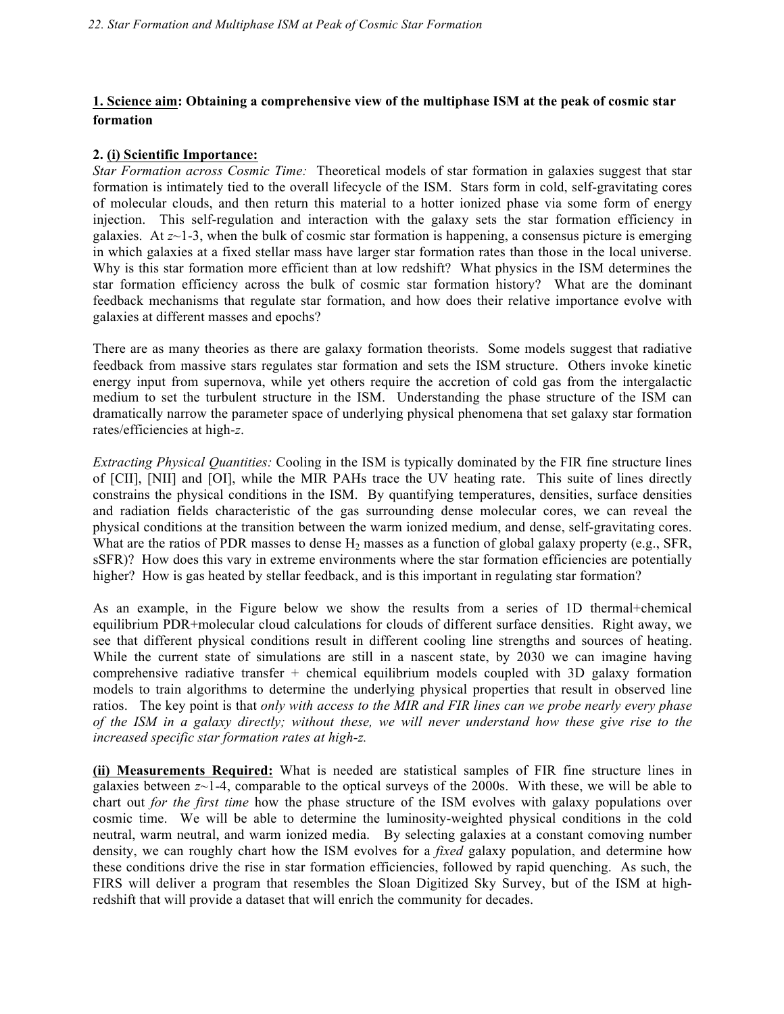### **1. Science aim: Obtaining a comprehensive view of the multiphase ISM at the peak of cosmic star formation**

#### **2. (i) Scientific Importance:**

*Star Formation across Cosmic Time:* Theoretical models of star formation in galaxies suggest that star formation is intimately tied to the overall lifecycle of the ISM. Stars form in cold, self-gravitating cores of molecular clouds, and then return this material to a hotter ionized phase via some form of energy injection. This self-regulation and interaction with the galaxy sets the star formation efficiency in galaxies. At  $z \sim 1$ -3, when the bulk of cosmic star formation is happening, a consensus picture is emerging in which galaxies at a fixed stellar mass have larger star formation rates than those in the local universe. Why is this star formation more efficient than at low redshift? What physics in the ISM determines the star formation efficiency across the bulk of cosmic star formation history? What are the dominant feedback mechanisms that regulate star formation, and how does their relative importance evolve with galaxies at different masses and epochs?

There are as many theories as there are galaxy formation theorists. Some models suggest that radiative feedback from massive stars regulates star formation and sets the ISM structure. Others invoke kinetic energy input from supernova, while yet others require the accretion of cold gas from the intergalactic medium to set the turbulent structure in the ISM. Understanding the phase structure of the ISM can dramatically narrow the parameter space of underlying physical phenomena that set galaxy star formation rates/efficiencies at high-*z*.

*Extracting Physical Quantities:* Cooling in the ISM is typically dominated by the FIR fine structure lines of [CII], [NII] and [OI], while the MIR PAHs trace the UV heating rate. This suite of lines directly constrains the physical conditions in the ISM. By quantifying temperatures, densities, surface densities and radiation fields characteristic of the gas surrounding dense molecular cores, we can reveal the physical conditions at the transition between the warm ionized medium, and dense, self-gravitating cores. What are the ratios of PDR masses to dense  $H_2$  masses as a function of global galaxy property (e.g., SFR, sSFR)? How does this vary in extreme environments where the star formation efficiencies are potentially higher? How is gas heated by stellar feedback, and is this important in regulating star formation?

As an example, in the Figure below we show the results from a series of 1D thermal+chemical equilibrium PDR+molecular cloud calculations for clouds of different surface densities. Right away, we see that different physical conditions result in different cooling line strengths and sources of heating. While the current state of simulations are still in a nascent state, by 2030 we can imagine having comprehensive radiative transfer  $+$  chemical equilibrium models coupled with 3D galaxy formation models to train algorithms to determine the underlying physical properties that result in observed line ratios. The key point is that *only with access to the MIR and FIR lines can we probe nearly every phase of the ISM in a galaxy directly; without these, we will never understand how these give rise to the increased specific star formation rates at high-z.*

**(ii) Measurements Required:** What is needed are statistical samples of FIR fine structure lines in galaxies between  $z \sim 1-4$ , comparable to the optical surveys of the 2000s. With these, we will be able to chart out *for the first time* how the phase structure of the ISM evolves with galaxy populations over cosmic time. We will be able to determine the luminosity-weighted physical conditions in the cold neutral, warm neutral, and warm ionized media. By selecting galaxies at a constant comoving number density, we can roughly chart how the ISM evolves for a *fixed* galaxy population, and determine how these conditions drive the rise in star formation efficiencies, followed by rapid quenching. As such, the FIRS will deliver a program that resembles the Sloan Digitized Sky Survey, but of the ISM at highredshift that will provide a dataset that will enrich the community for decades.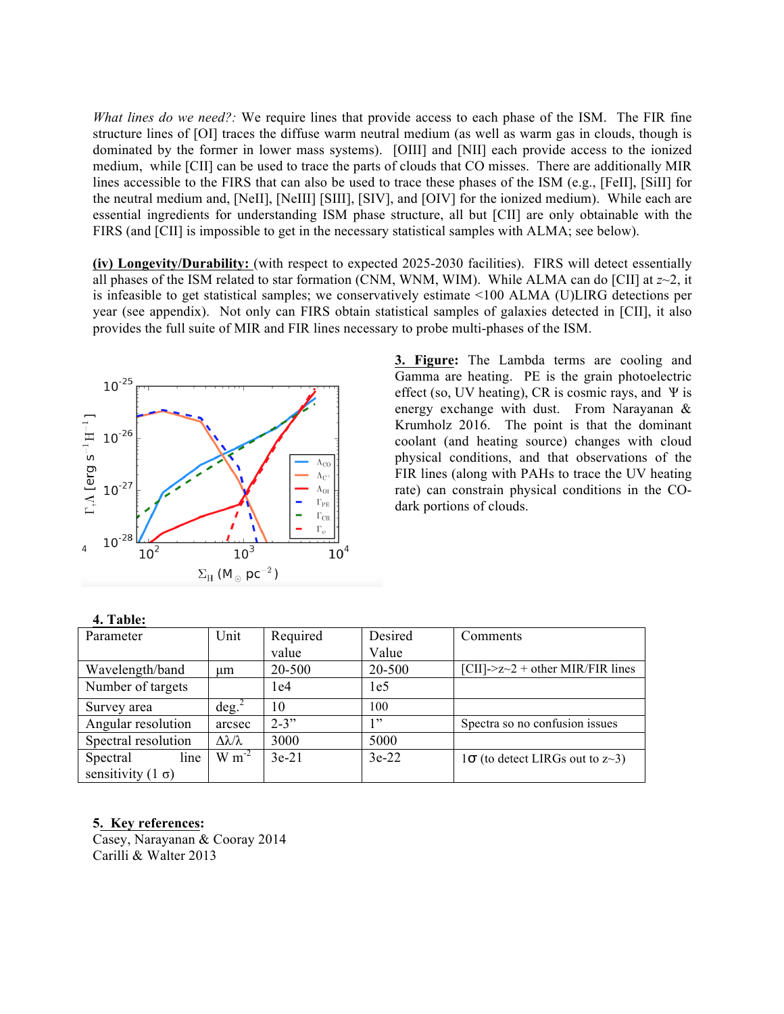*What lines do we need?:* We require lines that provide access to each phase of the ISM. The FIR fine structure lines of [OI] traces the diffuse warm neutral medium (as well as warm gas in clouds, though is dominated by the former in lower mass systems). [OIII] and [NII] each provide access to the ionized medium, while [CII] can be used to trace the parts of clouds that CO misses. There are additionally MIR lines accessible to the FIRS that can also be used to trace these phases of the ISM (e.g., [FeII], [SiII] for the neutral medium and, [NeII], [NeIII] [SIII], [SIV], and [OIV] for the ionized medium). While each are essential ingredients for understanding ISM phase structure, all but [CII] are only obtainable with the FIRS (and [CII] is impossible to get in the necessary statistical samples with ALMA; see below).

**(iv) Longevity/Durability:** (with respect to expected 2025-2030 facilities). FIRS will detect essentially all phases of the ISM related to star formation (CNM, WNM, WIM). While ALMA can do [CII] at  $z \sim 2$ , it is infeasible to get statistical samples; we conservatively estimate <100 ALMA (U)LIRG detections per year (see appendix).Not only can FIRS obtain statistical samples of galaxies detected in [CII], it also provides the full suite of MIR and FIR lines necessary to probe multi-phases of the ISM.



**3. Figure:** The Lambda terms are cooling and Gamma are heating. PE is the grain photoelectric effect (so, UV heating), CR is cosmic rays, and  $\Psi$  is energy exchange with dust. From Narayanan & Krumholz 2016. The point is that the dominant coolant (and heating source) changes with cloud physical conditions, and that observations of the FIR lines (along with PAHs to trace the UV heating rate) can constrain physical conditions in the COdark portions of clouds.

| Parameter                 | Unit                    | Required  | Desired         | Comments                               |
|---------------------------|-------------------------|-----------|-----------------|----------------------------------------|
|                           |                         | value     | Value           |                                        |
| Wavelength/band           | um                      | 20-500    | 20-500          | [CII]-> $z$ ~2 + other MIR/FIR lines   |
| Number of targets         |                         | 1e4       | 1e <sub>5</sub> |                                        |
| Survey area               | deg. <sup>2</sup>       | 10        | 100             |                                        |
| Angular resolution        | arcsec                  | $2 - 3$ " | 1, 22           | Spectra so no confusion issues         |
| Spectral resolution       | $\Delta\lambda/\lambda$ | 3000      | 5000            |                                        |
| line<br>Spectral          | $W m^{-2}$              | $3e-21$   | $3e-22$         | $1\sigma$ (to detect LIRGs out to z~3) |
| sensitivity (1 $\sigma$ ) |                         |           |                 |                                        |

#### **4. Table:**

#### **5. Key references:**

Casey, Narayanan & Cooray 2014 Carilli & Walter 2013